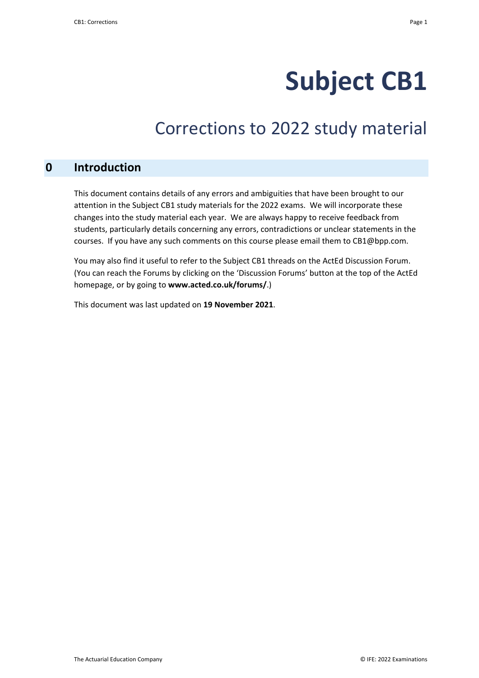# **Subject CB1**

## Corrections to 2022 study material

#### **0 Introduction**

This document contains details of any errors and ambiguities that have been brought to our attention in the Subject CB1 study materials for the 2022 exams. We will incorporate these changes into the study material each year. We are always happy to receive feedback from students, particularly details concerning any errors, contradictions or unclear statements in the courses. If you have any such comments on this course please email them to CB1@bpp.com.

You may also find it useful to refer to the Subject CB1 threads on the ActEd Discussion Forum. (You can reach the Forums by clicking on the 'Discussion Forums' button at the top of the ActEd homepage, or by going to **www.acted.co.uk/forums/**.)

This document was last updated on **19 November 2021**.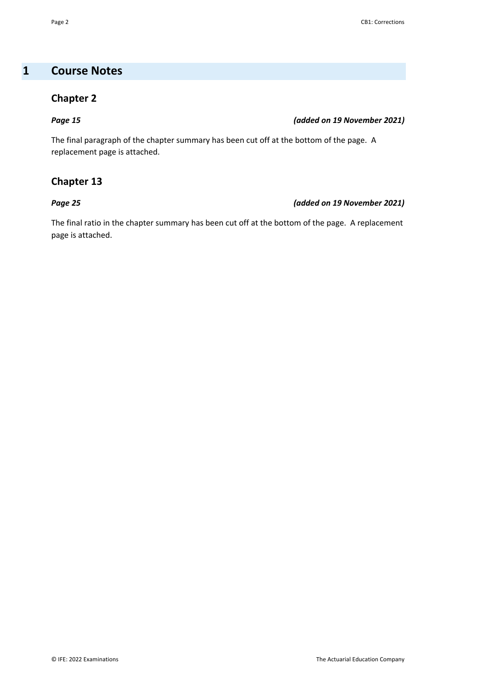### **1 Course Notes**

#### **Chapter 2**

#### *Page 15 (added on 19 November 2021)*

The final paragraph of the chapter summary has been cut off at the bottom of the page. A replacement page is attached.

#### **Chapter 13**

#### *Page 25 (added on 19 November 2021)*

The final ratio in the chapter summary has been cut off at the bottom of the page. A replacement page is attached.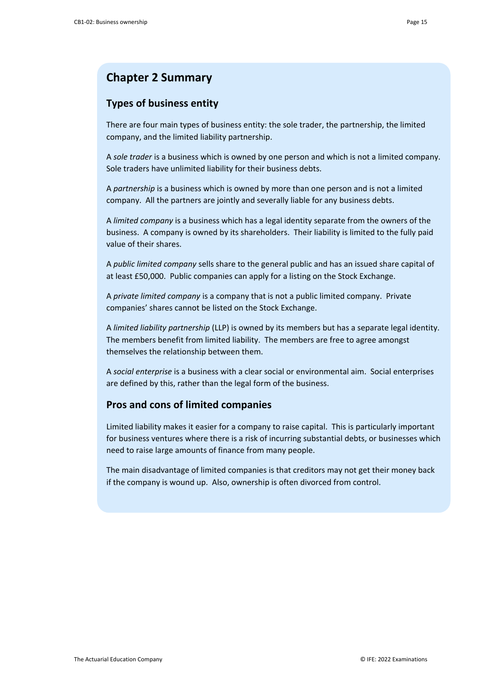### **Chapter 2 Summary**

#### **Types of business entity**

There are four main types of business entity: the sole trader, the partnership, the limited company, and the limited liability partnership.

A *sole trader* is a business which is owned by one person and which is not a limited company. Sole traders have unlimited liability for their business debts.

A *partnership* is a business which is owned by more than one person and is not a limited company. All the partners are jointly and severally liable for any business debts.

A *limited company* is a business which has a legal identity separate from the owners of the business. A company is owned by its shareholders. Their liability is limited to the fully paid value of their shares.

A *public limited company* sells share to the general public and has an issued share capital of at least £50,000. Public companies can apply for a listing on the Stock Exchange.

A *private limited company* is a company that is not a public limited company. Private companies' shares cannot be listed on the Stock Exchange.

A *limited liability partnership* (LLP) is owned by its members but has a separate legal identity. The members benefit from limited liability. The members are free to agree amongst themselves the relationship between them.

A *social enterprise* is a business with a clear social or environmental aim. Social enterprises are defined by this, rather than the legal form of the business.

#### **Pros and cons of limited companies**

Limited liability makes it easier for a company to raise capital. This is particularly important for business ventures where there is a risk of incurring substantial debts, or businesses which need to raise large amounts of finance from many people.

The main disadvantage of limited companies is that creditors may not get their money back if the company is wound up. Also, ownership is often divorced from control.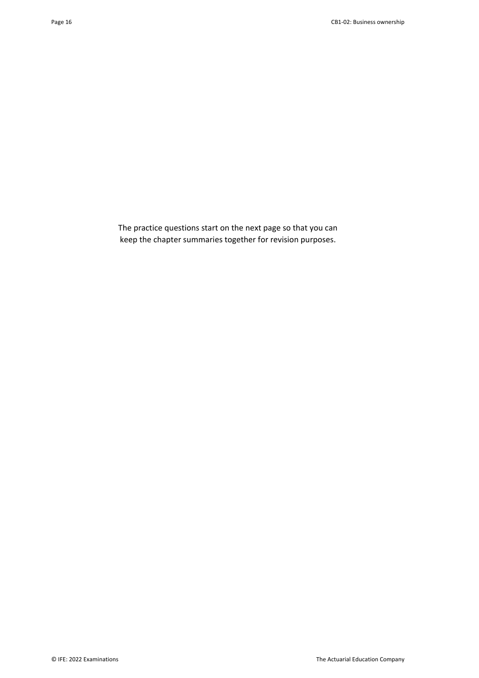The practice questions start on the next page so that you can keep the chapter summaries together for revision purposes.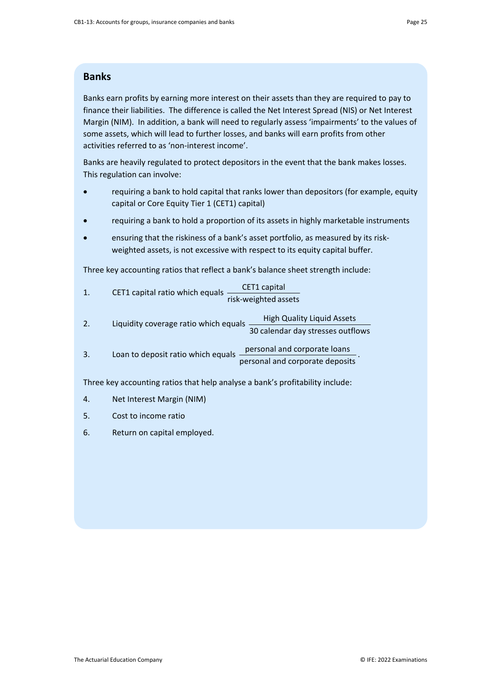#### **Banks**

Banks earn profits by earning more interest on their assets than they are required to pay to finance their liabilities. The difference is called the Net Interest Spread (NIS) or Net Interest Margin (NIM). In addition, a bank will need to regularly assess 'impairments' to the values of some assets, which will lead to further losses, and banks will earn profits from other activities referred to as 'non-interest income'.

Banks are heavily regulated to protect depositors in the event that the bank makes losses. This regulation can involve:

- requiring a bank to hold capital that ranks lower than depositors (for example, equity capital or Core Equity Tier 1 (CET1) capital)
- requiring a bank to hold a proportion of its assets in highly marketable instruments
- ensuring that the riskiness of a bank's asset portfolio, as measured by its riskweighted assets, is not excessive with respect to its equity capital buffer.

Three key accounting ratios that reflect a bank's balance sheet strength include:

| CET1 capital ratio which equals | CET1 capital         |
|---------------------------------|----------------------|
|                                 | risk-weighted assets |

- 2. Liquidity coverage ratio which equals  $\frac{High\ Quality\ Liqu\}$ 30 calendar day stresses outflows
- 3. Loan to deposit ratio which equals personal and corporate loans personal and corporate deposits .

Three key accounting ratios that help analyse a bank's profitability include:

- 4. Net Interest Margin (NIM)
- 5. Cost to income ratio
- 6. Return on capital employed.